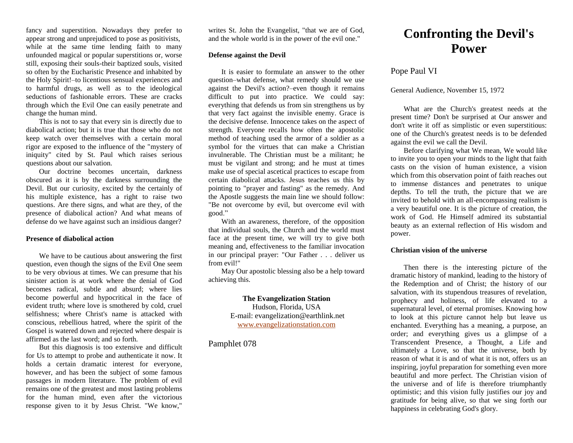fancy and superstition. Nowadays they prefer to appear strong and unprejudiced to pose as positivists, while at the same time lending faith to many unfounded magical or popular superstitions or, worse still, exposing their souls-their baptized souls, visited so often by the Eucharistic Presence and inhabited by the Holy Spirit!–to licentious sensual experiences and to harmful drugs, as well as to the ideological seductions of fashionable errors. These are cracks through which the Evil One can easily penetrate and change the human mind.

This is not to say that every sin is directly due to diabolical action; but it is true that those who do not keep watch over themselves with a certain moral rigor are exposed to the influence of the "mystery of iniquity" cited by St. Paul which raises serious questions about our salvation.

Our doctrine becomes uncertain, darkness obscured as it is by the darkness surrounding the Devil. But our curiosity, excited by the certainly of his multiple existence, has a right to raise two questions. Are there signs, and what are they, of the presence of diabolical action? And what means of defense do we have against such an insidious danger?

### **Presence of diabolical action**

We have to be cautious about answering the first question, even though the signs of the Evil One seem to be very obvious at times. We can presume that his sinister action is at work where the denial of God becomes radical, subtle and absurd; where lies become powerful and hypocritical in the face of evident truth; where love is smothered by cold, cruel selfishness; where Christ's name is attacked with conscious, rebellious hatred, where the spirit of the Gospel is watered down and rejected where despair is affirmed as the last word; and so forth.

But this diagnosis is too extensive and difficult for Us to attempt to probe and authenticate it now. It holds a certain dramatic interest for everyone, however, and has been the subject of some famous passages in modern literature. The problem of evil remains one of the greatest and most lasting problems for the human mind, even after the victorious response given to it by Jesus Christ. "We know,"

writes St. John the Evangelist, "that we are of God, and the whole world is in the power of the evil one."

## **Defense against the Devil**

It is easier to formulate an answer to the other question–what defense, what remedy should we use against the Devil's action?–even though it remains difficult to put into practice. We could say: everything that defends us from sin strengthens us by that very fact against the invisible enemy. Grace is the decisive defense. Innocence takes on the aspect of strength. Everyone recalls how often the apostolic method of teaching used the armor of a soldier as a symbol for the virtues that can make a Christian invulnerable. The Christian must be a militant; he must be vigilant and strong; and he must at times make use of special ascetical practices to escape from certain diabolical attacks. Jesus teaches us this by pointing to "prayer and fasting" as the remedy. And the Apostle suggests the main line we should follow: "Be not overcome by evil, but overcome evil with good."

With an awareness, therefore, of the opposition that individual souls, the Church and the world must face at the present time, we will try to give both meaning and, effectiveness to the familiar invocation in our principal prayer: "Our Father . . . deliver us from evil!"

May Our apostolic blessing also be a help toward achieving this.

> **The Evangelization Station** Hudson, Florida, USA E-mail: evangelization@earthlink.net [www.evangelizationstation.com](http://www.pjpiisoe.org/)

Pamphlet 078

# **Confronting the Devil's Power**

Pope Paul VI

### General Audience, November 15, 1972

What are the Church's greatest needs at the present time? Don't be surprised at Our answer and don't write it off as simplistic or even superstitious: one of the Church's greatest needs is to be defended against the evil we call the Devil.

Before clarifying what We mean, We would like to invite you to open your minds to the light that faith casts on the vision of human existence, a vision which from this observation point of faith reaches out to immense distances and penetrates to unique depths. To tell the truth, the picture that we are invited to behold with an all-encompassing realism is a very beautiful one. It is the picture of creation, the work of God. He Himself admired its substantial beauty as an external reflection of His wisdom and power.

#### **Christian vision of the universe**

Then there is the interesting picture of the dramatic history of mankind, leading to the history of the Redemption and of Christ; the history of our salvation, with its stupendous treasures of revelation, prophecy and holiness, of life elevated to a supernatural level, of eternal promises. Knowing how to look at this picture cannot help but leave us enchanted. Everything has a meaning, a purpose, an order; and everything gives us a glimpse of a Transcendent Presence, a Thought, a Life and ultimately a Love, so that the universe, both by reason of what it is and of what it is not, offers us an inspiring, joyful preparation for something even more beautiful and more perfect. The Christian vision of the universe and of life is therefore triumphantly optimistic; and this vision fully justifies our joy and gratitude for being alive, so that we sing forth our happiness in celebrating God's glory.